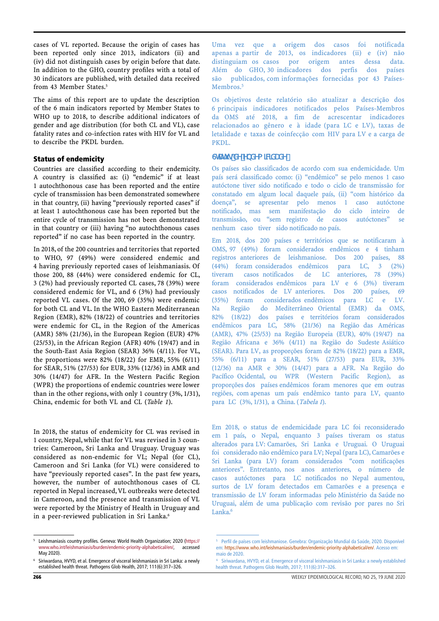cases of VL reported. Because the origin of cases has been reported only since 2013, indicators (ii) and (iv) did not distinguish cases by origin before that date. In addition to the GHO, country profiles with a total of 30 indicators are published, with detailed data received from 43 Member States.<sup>5</sup>

The aims of this report are to update the description of the 6 main indicators reported by Member States to WHO up to 2018, to describe additional indicators of gender and age distribution (for both CL and VL), case fatality rates and co-infection rates with HIV for VL and to describe the PKDL burden.

# Status of endemicity

Countries are classified according to their endemicity. A country is classified as: (i) "endemic" if at least 1 autochthonous case has been reported and the entire cycle of transmission has been demonstrated somewhere in that country, (ii) having "previously reported cases" if at least 1 autochthonous case has been reported but the entire cycle of transmission has not been demonstrated in that country or (iii) having "no autochthonous cases reported" if no case has been reported in the country.

In 2018, of the 200 countries and territories that reported to WHO, 97 (49%) were considered endemic and 4 having previously reported cases of leishmaniasis. Of those 200, 88 (44%) were considered endemic for CL, 3 (2%) had previously reported CL cases, 78 (39%) were considered endemic for VL, and 6 (3%) had previously reported VL cases. Of the 200, 69 (35%) were endemic for both CL and VL. In the WHO Eastern Mediterranean Region (EMR), 82% (18/22) of countries and territories were endemic for CL, in the Region of the Americas (AMR) 58% (21/36), in the European Region (EUR) 47% (25/53), in the African Region (AFR) 40% (19/47) and in the South-East Asia Region (SEAR) 36% (4/11). For VL, the proportions were 82% (18/22) for EMR, 55% (6/11) for SEAR, 51% (27/53) for EUR, 33% (12/36) in AMR and 30% (14/47) for AFR. In the Western Pacific Region (WPR) the proportions of endemic countries were lower than in the other regions, with only 1 country (3%, 1/31), China, endemic for both VL and CL (*Table 1*).

In 2018, the status of endemicity for CL was revised in 1 country, Nepal, while that for VL was revised in 3 countries: Cameroon, Sri Lanka and Uruguay. Uruguay was considered as non-endemic for VL; Nepal (for CL), Cameroon and Sri Lanka (for VL) were considered to have "previously reported cases". In the past few years, however, the number of autochthonous cases of CL reported in Nepal increased, VL outbreaks were detected in Cameroon, and the presence and transmission of VL were reported by the Ministry of Health in Uruguay and in a peer-reviewed publication in Sri Lanka.<sup>6</sup>

Uma vez que a origem dos casos foi notificada apenas a partir de 2013, os indicadores (ii) e (iv) não distinguiam os casos por origem antes dessa data. Além do GHO, 30 indicadores dos perfis dos países são publicados, com informações fornecidas por 43 Países-Membros.<sup>5</sup>

Os objetivos deste relatório são atualizar a descrição dos 6 principais indicadores notificados pelos Países-Membros da OMS até 2018, a fim de acrescentar indicadores relacionados ao gênero e à idade (para LC e LV), taxas de letalidade e taxas de coinfecção com HIV para LV e a carga de PKDL.

# Status de endemicidade

Os países são classificados de acordo com sua endemicidade. Um país será classificado como: (i) "endêmico" se pelo menos 1 caso autóctone tiver sido notificado e todo o ciclo de transmissão for constatado em algum local daquele país, (ii) "com histórico da doença", se apresentar pelo menos 1 caso autóctone notificado, mas sem manifestação do ciclo inteiro de transmissão, ou "sem registro de casos autóctones" se nenhum caso tiver sido notificado no país.

Em 2018, dos 200 países e territórios que se notificaram à OMS, 97 (49%) foram considerados endêmicos e 4 tinham registros anteriores de leishmaniose. Dos 200 países, 88 (44%) foram considerados endêmicos para LC, 3 (2%) tiveram casos notificados de LC anteriores, 78 (39%) foram considerados endêmicos para LV e 6 (3%) tiveram casos notificados de LV anteriores. Dos 200 países, 69 (35%) foram considerados endêmicos para LC e LV. Na Região do Mediterrâneo Oriental (EMR) da OMS, 82% (18/22) dos países e territórios foram considerados endêmicos para LC, 58% (21/36) na Região das Américas (AMR), 47% (25/53) na Região Europeia (EUR), 40% (19/47) na Região Africana e 36% (4/11) na Região do Sudeste Asiático (SEAR). Para LV, as proporções foram de 82% (18/22) para a EMR, 55% (6/11) para a SEAR, 51% (27/53) para EUR, 33% (12/36) na AMR e 30% (14/47) para a AFR. Na Região do Pacífico Ocidental, ou WPR (Western Pacific Region), as proporções dos países endêmicos foram menores que em outras regiões, com apenas um país endêmico tanto para LV, quanto para LC (3%, 1/31), a China. (Tabela 1).

Em 2018, o status de endemicidade para LC foi reconsiderado em 1 país, o Nepal, enquanto 3 países tiveram os status alterados para LV: Camarões, Sri Lanka e Uruguai. O Uruguai foi considerado não endêmico para LV; Nepal (para LC), Camarões e Sri Lanka (para LV) foram considerados "com notificações anteriores". Entretanto, nos anos anteriores, o número de casos autóctones para LC notificados no Nepal aumentou, surtos de LV foram detectados em Camarões e a presença e transmissão de LV foram informadas pelo Ministério da Saúde no Uruguai, além de uma publicação com revisão por pares no Sri Lanka.<sup>6</sup>

Leishmaniasis country profiles. Geneva: World Health Organization; 2020 ([https://](https://www.who.int/leishmaniasis/burden/endemic-priority-alphabetical/en/) [www.who.int/leishmaniasis/burden/endemic-priority-alphabetical/en/](https://www.who.int/leishmaniasis/burden/endemic-priority-alphabetical/en/), accessed May 2020).

<sup>6</sup> Siriwardana, HVYD, et al. Emergence of visceral leishmaniasis in Sri Lanka: a newly established health threat. Pathogens Glob Health, 2017; 111(6):317–326.

<sup>&</sup>lt;sup>5</sup> Perfil de países com leishmaniose. Genebra: Organização Mundial da Saúde, 2020. Disponível em: https://www.who.int/leishmaniasis/burden/endemic-priority-alphabetical/en/. Acesso em: maio de 2020.

<sup>&</sup>lt;sup>6</sup> Siriwardana, HVYD, et al. Emergence of visceral leishmaniasis in Sri Lanka: a newly established health threat. Pathogens Glob Health, 2017; 111(6):317–326.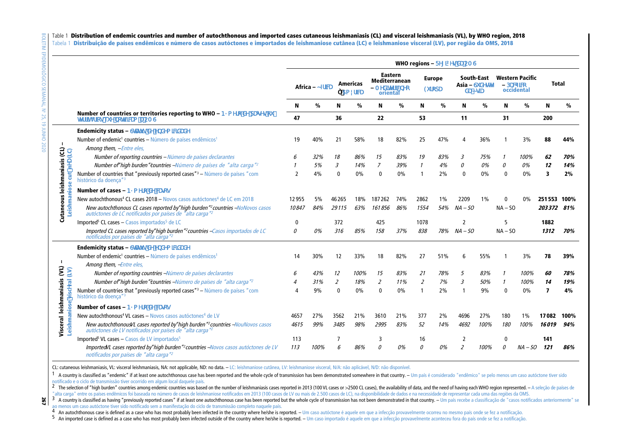# Table 1 Distribution of endemic countries and number of autochthonous and imported cases cutaneous leishmaniasis (CL) and visceral leishmaniasis (VL), by WHO region, 2018

Tabela 1 Distribuição de países endêmicos e número de casos autóctones e importados de leishmaniose cutânea (LC) e leishmaniose visceral (LV), por região da OMS, 2018

|                                                                              |                                                                                                                                                                   | WHO regions - Regiões da OMS |                 |                |                              |                                                                      |     |                                |     |                                         |      |                                                    |           |              |      |
|------------------------------------------------------------------------------|-------------------------------------------------------------------------------------------------------------------------------------------------------------------|------------------------------|-----------------|----------------|------------------------------|----------------------------------------------------------------------|-----|--------------------------------|-----|-----------------------------------------|------|----------------------------------------------------|-----------|--------------|------|
|                                                                              |                                                                                                                                                                   |                              | Africa - África |                | Americas<br><b>1 América</b> | <b>Eastern</b><br><b>Mediterranean</b><br>- Mediterrâneo<br>oriental |     | <b>Europe</b><br><b>Europa</b> |     | South-East<br>Asia - Sudeste<br>da Asia |      | <b>Western Pacific</b><br>- Pacífico<br>occidental |           | <b>Total</b> |      |
|                                                                              |                                                                                                                                                                   | N                            | %               | N              | %                            | N                                                                    | %   | N                              | %   | N                                       | $\%$ | N                                                  | %         | N            | %    |
|                                                                              | Number of countries or territories reporting to WHO - Número de países<br>ou territórios que notificam a OMS                                                      | 47                           |                 | 36             |                              | 22                                                                   |     | 53                             |     | 11                                      |      | 31                                                 |           | 200          |      |
| <b>Cutaneous leishmaniasis (CL)</b><br>Leishmaniose cut <sup>1</sup> nYU(LC) | <b>Endemicity status - Status de endemicidade</b>                                                                                                                 |                              |                 |                |                              |                                                                      |     |                                |     |                                         |      |                                                    |           |              |      |
|                                                                              | Number of endemic, countries - Número de países endêmicos,<br>Among them, -Entre eles,                                                                            | 19                           | 40%             | 21             | 58%                          | 18                                                                   | 82% | 25                             | 47% |                                         | 36%  |                                                    | 3%        | 88           | 44%  |
|                                                                              | Number of reporting countries - Número de países declarantes                                                                                                      | 6                            | 32%             | 18             | 86%                          | 15                                                                   | 83% | 19                             | 83% | 3                                       | 75%  | 1                                                  | 100%      | 62           | 70%  |
|                                                                              | Number of"high burden "countries -Número de países de "alta carga" <sup>2</sup>                                                                                   |                              | 5%              | 3              | 14%                          | 7                                                                    | 39% | -1                             | 4%  | 0                                       | 0%   | 0                                                  | 0%        | 12           | 14%  |
|                                                                              | Number of countries that "previously reported cases", - Número de países "com<br>histórico da doença"                                                             | $\overline{2}$               | 4%              | $\mathbf{0}$   | 0%                           | $\mathbf{0}$                                                         | 0%  |                                | 2%  | $\mathbf{0}$                            | 0%   | $\Omega$                                           | 0%        | 3            | 2%   |
|                                                                              | Number of cases - Número de casos                                                                                                                                 |                              |                 |                |                              |                                                                      |     |                                |     |                                         |      |                                                    |           |              |      |
|                                                                              | New autochthonous, CL cases 2018 – Novos casos autóctones, de LC em 2018                                                                                          | 12955                        | 5%              | 46265          | 18%                          | 187262                                                               | 74% | 2862                           | 1%  | 2209                                    | 1%   |                                                    | 0%        | 251553 100%  |      |
|                                                                              | New autochthonous CL cases reported by high burden "?countries -<br>Novos casos autóctones de LC notificados por países de "alta carga" <sup>2</sup>              | 10847                        | 84%             | 29115          | 63%                          | 161856                                                               | 86% | 1554                           | 54% | $NA - SO$                               |      | $NA - SO$                                          |           | 203372       | 81%  |
|                                                                              | Imported <sup>5</sup> CL cases – Casos importados <sup>5</sup> de LC                                                                                              | $\Omega$                     |                 | 372            |                              | 425                                                                  |     | 1078                           |     | $\overline{\phantom{a}}$                |      |                                                    |           | 1882         |      |
|                                                                              | Imported CL cases reported by"high burden" <sup>2</sup> countries -Casos importados de LC<br>notificados por países de "alta carga" <sup>2</sup>                  | 0                            | 0%              | 316            | 85%                          | 158                                                                  | 37% | 838                            | 78% | $NA - SO$                               |      | $NA - SO$                                          |           | 1312         | 70%  |
| Visceral leishmaniasis (VL)<br>Leishmaniose viscYral (LV)                    | <b>Endemicity status - Status de endemicidade</b>                                                                                                                 |                              |                 |                |                              |                                                                      |     |                                |     |                                         |      |                                                    |           |              |      |
|                                                                              | Number of endemic, countries – Número de países endêmicos,                                                                                                        | 14                           | 30%             | 12             | 33%                          | 18                                                                   | 82% | 27                             | 51% | 6                                       | 55%  |                                                    | 3%        | 78           | 39%  |
|                                                                              | Among them, -Entre eles,                                                                                                                                          |                              |                 |                |                              |                                                                      |     |                                |     |                                         |      |                                                    |           |              |      |
|                                                                              | Number of reporting countries -Número de países declarantes                                                                                                       |                              | 43%             | 12             | 100%                         | 15                                                                   | 83% | 21                             | 78% | 5                                       | 83%  |                                                    | 100%      | 60           | 78%  |
|                                                                              | Number of"high burden "countries -Número de países de "alta carga" <sup>2</sup>                                                                                   |                              | 31%             | $\overline{2}$ | 18%                          | 2                                                                    | 11% | $\overline{2}$                 | 7%  | 3                                       | 50%  | 1                                                  | 100%      | 14           | 19%  |
|                                                                              | Number of countries that "previously reported cases", - Número de países "com<br>histórico da doença" <sup>3</sup>                                                | Δ                            | 9%              | $\mathbf{0}$   | 0%                           | $\mathbf{0}$                                                         | 0%  |                                | 2%  | -1                                      | 9%   | $\Omega$                                           | 0%        | 7            | 4%   |
|                                                                              | Number of cases - Número de casos                                                                                                                                 |                              |                 |                |                              |                                                                      |     |                                |     |                                         |      |                                                    |           |              |      |
|                                                                              | New autochthonous, VL cases – Novos casos autóctones, de LV                                                                                                       | 4657                         | 27%             | 3562           | 21%                          | 3610                                                                 | 21% | 377                            | 2%  | 4696                                    | 27%  | 180                                                | 1%        | 17082        | 100% |
|                                                                              | New autochthonous/L cases reported by"high burden" <sup>2</sup> countries -NouNovos casos<br>autóctones de LV notificados por países de "alta carga" <sup>2</sup> | 4615                         | 99%             | 3485           | 98%                          | 2995                                                                 | 83% | 52                             | 14% | 4692                                    | 100% | 180                                                | 100%      | 16019        | 94%  |
|                                                                              | Imported <sup>5</sup> VL cases - Casos de LV importados <sup>5</sup>                                                                                              | 113                          |                 |                |                              | 3                                                                    |     | 16                             |     | 2                                       |      | $\Omega$                                           |           | 141          |      |
|                                                                              | ImportedVL cases reported by"high burden " <sup>2</sup> countries -Novos casos autóctones de LV<br>notificados por países de "alta carga" <sup>2</sup>            | 113                          | 100%            | 6              | 86%                          | $\Omega$                                                             | 0%  | 0                              | 0%  | $\overline{2}$                          | 100% | 0                                                  | $NA - SO$ | 121          | 86%  |

CL: cutaneous leishmaniasis, VL: visceral leishmaniasis, NA: not applicable, ND: no data. – LC: leishmaniose cutânea, LV: leishmaniose visceral, N/A: não aplicável, N/D: não disponível.

1 A country is classified as "endemic" if at least one autochthonous case has been reported and the whole cycle of transmission has been demonstrated somewhere in that country. - Um país é considerado "endêmico" se pelo me notificado e o ciclo de transmissão tiver ocorrido em algum local daquele país.

<sup>2</sup> The selection of "high burden" countries among endemic countries was based on the number of leishmaniasis cases reported in 2013 (100 VL cases or >2500 CL cases), the availability of data, and the need of having each W "alta carga" entre os países endêmicos foi baseada no número de casos de leishmaniose notificados em 2013 (100 casos de LV ou mais de 2.500 casos de LC), na disponibilidade de dados e na necessidade de representar cada uma

267 3 A country is classified as having "previously reported cases" if at least one autochthonous case has been reported but the whole cycle of transmission has not been demonstrated in that country. - Um país recebe a classif ao menos um caso autóctone tiver sido notificado sem a manifestação do ciclo de transmissão completo naquele país.

4 An autochthonous case is defined as a case who has most probably been infected in the country where he/she is reported. - Um caso autóctone é aquele em que a infecção provavelmente ocorreu no mesmo país onde se fez a not 4

5 An imported case is defined as a case who has most probably been infected outside of the country where he/she is reported. - Um caso importado é aquele em que a infecção provavelmente aconteceu fora do país onde se fez a 5

 $\overline{\phantom{0}}$ 

8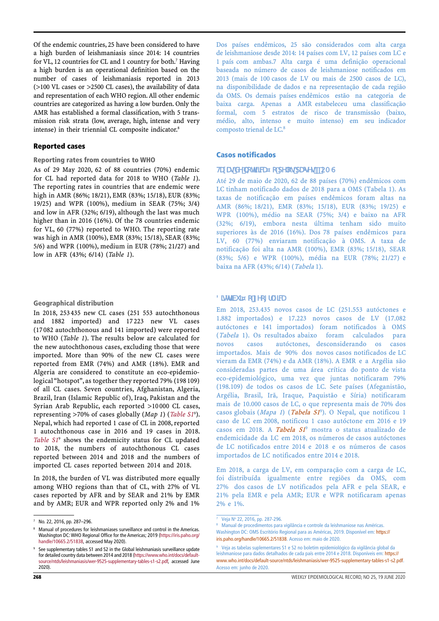Of the endemic countries, 25 have been considered to have a high burden of leishmaniasis since 2014: 14 countries for VL, 12 countries for CL and 1 country for both.<sup>7</sup> Having a high burden is an operational definition based on the number of cases of leishmaniasis reported in 2013 (>100 VL cases or >2500 CL cases), the availability of data and representation of each WHO region. All other endemic countries are categorized as having a low burden. Only the AMR has established a formal classification, with 5 transmission risk strata (low, average, high, intense and very intense) in their triennial CL composite indicator.<sup>8</sup>

# Reported cases

#### Reporting rates from countries to WHO

As of 29 May 2020, 62 of 88 countries (70%) endemic for CL had reported data for 2018 to WHO (*Table 1*). The reporting rates in countries that are endemic were high in AMR (86%; 18/21), EMR (83%; 15/18), EUR (83%; 19/25) and WPR (100%), medium in SEAR (75%; 3/4) and low in AFR (32%; 6/19), although the last was much higher than in 2016 (16%). Of the 78 countries endemic for VL, 60 (77%) reported to WHO. The reporting rate was high in AMR (100%), EMR (83%; 15/18), SEAR (83%; 5/6) and WPR (100%), medium in EUR (78%; 21/27) and low in AFR (43%; 6/14) (*Table 1*).

#### Geographical distribution

In 2018, 253 435 new CL cases (251 553 autochthonous and 1882 imported) and 17 223 new VL cases (17 082 autochthonous and 141 imported) were reported to WHO (*Table 1*). The results below are calculated for the new autochthonous cases, excluding those that were imported. More than 90% of the new CL cases were reported from EMR (74%) and AMR (18%). EMR and Algeria are considered to constitute an eco-epidemiological "hotspot", as together they reported 79% (198 109) of all CL cases. Seven countries, Afghanistan, Algeria, Brazil, Iran (Islamic Republic of), Iraq, Pakistan and the Syrian Arab Republic, each reported >10 000 CL cases, representing >70% of cases globally (*Map 1*) (*[Table S1](https://www.who.int/docs/default-source/ntds/leishmaniasis/wer-9525-supplementary-tables-s1-s2.pdf)*<sup>9</sup> ). Nepal, which had reported 1 case of CL in 2008, reported 1 autochthonous case in 2016 and 19 cases in 2018. [Table](https://www.who.int/docs/default-source/ntds/leishmaniasis/wer-9525-supplementary-tables-s1-s2.pdf) S1<sup>9</sup> shows the endemicity status for CL updated to 2018, the numbers of autochthonous CL cases reported between 2014 and 2018 and the numbers of imported CL cases reported between 2014 and 2018.

In 2018, the burden of VL was distributed more equally among WHO regions than that of CL, with 27% of VL cases reported by AFR and by SEAR and 21% by EMR and by AMR; EUR and WPR reported only 2% and 1%

Dos países endêmicos, 25 são considerados com alta carga de leishmaniose desde 2014: 14 países com LV, 12 países com LC e 1 país com ambas.<sup>7</sup> Alta carga é uma definição operacional baseada no número de casos de leishmaniose notificados em 2013 (mais de 100 casos de LV ou mais de 2500 casos de LC), na disponibilidade de dados e na representação de cada região da OMS. Os demais países endêmicos estão na categoria de baixa carga. Apenas a AMR estabeleceu uma classificação formal, com 5 estratos de risco de transmissão (baixo, médio, alto, intenso e muito intenso) em seu indicador composto trienal de LC.<sup>8</sup>

# Casos notificados

#### Taxas de notificação pelos países à OMS

Até 29 de maio de 2020, 62 de 88 países (70%) endêmicos com LC tinham notificado dados de 2018 para a OMS (Tabela 1). As taxas de notificação em países endêmicos foram altas na AMR (86%; 18/21), EMR (83%; 15/18), EUR (83%; 19/25) e WPR (100%), médio na SEAR (75%; 3/4) e baixo na AFR (32%; 6/19), embora nesta última tenham sido muito superiores às de 2016 (16%). Dos 78 países endêmicos para LV, 60 (77%) enviaram notificação à OMS. A taxa de notificação foi alta na AMR (100%), EMR (83%; 15/18), SEAR (83%; 5/6) e WPR (100%), média na EUR (78%; 21/27) e baixa na AFR (43%; 6/14) (Tabela 1).

# Distribuição geográfica

Em 2018, 253.435 novos casos de LC (251.553 autóctones e 1.882 importados) e 17.223 novos casos de LV (17.082 autóctones e 141 importados) foram notificados à OMS (Tabela 1). Os resultados abaixo foram calculados para novos casos autóctones, desconsiderando os casos importados. Mais de 90% dos novos casos notificados de LC vieram da EMR (74%) e da AMR (18%). A EMR e a Argélia são consideradas partes de uma área crítica do ponto de vista eco-epidemiológico, uma vez que juntas notificaram 79% (198.109) de todos os casos de LC. Sete países (Afeganistão, Argélia, Brasil, Irã, Iraque, Paquistão e Síria) notificaram mais de 10.000 casos de LC, o que representa mais de 70% dos casos globais (Mapa 1) (Tabela SI<sup>9</sup>). O Nepal, que notificou 1 caso de LC em 2008, notificou 1 caso autóctone em 2016 e 19 casos em 2018. A Tabela S1 <sup>9</sup> mostra o status atualizado de endemicidade da LC em 2018, os números de casos autóctones de LC notificados entre 2014 e 2018 e os números de casos importados de LC notificados entre 2014 e 2018.

Em 2018, a carga de LV, em comparação com a carga de LC, foi distribuída igualmente entre regiões da OMS, com 27% dos casos de LV notificados pela AFR e pela SEAR, e 21% pela EMR e pela AMR; EUR e WPR notificaram apenas 2% e 1%.

No. 22, 2016, pp. 287-296.

Manual of procedures for leishmaniases surveillance and control in the Americas. Washington DC: WHO Regional Office for the Americas; 2019 [\(https://iris.paho.org/](https://iris.paho.org/handle/10665.2/51838) [handle/10665.2/51838,](https://iris.paho.org/handle/10665.2/51838) accessed May 2020).

See supplementary tables S1 and S2 in the Global leishmaniasis surveillance update for detailed country data between 2014 and 2018 [\(https://www.who.int/docs/default](https://www.who.int/docs/default-source/ntds/leishmaniasis/wer-9525-supplementary-tables-s1-s2.pdf)[source/ntds/leishmaniasis/wer-9525-supplementary-tables-s1-s2.pdf](https://www.who.int/docs/default-source/ntds/leishmaniasis/wer-9525-supplementary-tables-s1-s2.pdf), accessed June 2020).

 $7$  Veja Nº 22, 2016, pp. 287-296.

Manual de procedimentos para vigilância e controle da leishmaniose nas Américas. Washington DC: OMS Escritório Regional para as Américas, 2019. Disponível em: https:// iris.paho.org/handle/10665.2/51838. Acesso em: maio de 2020.

<sup>&</sup>lt;sup>9</sup> Veja as tabelas suplementares S1 e S2 no boletim epidemiológico da vigilância global da leishmaniose para dados detalhados de cada país entre 2014 e 2018. Disponíveis em: https:// www.who.int/docs/default-source/ntds/leishmaniasis/wer-9525-supplementary-tables-s1-s2.pdf. Acesso em: junho de 2020.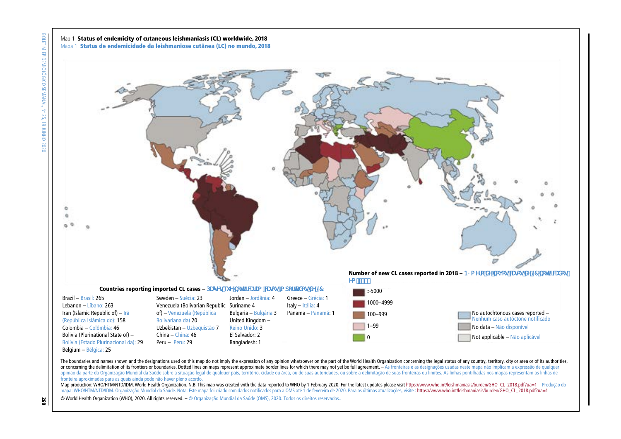

The boundaries and names shown and the designations used on this map do not imply the expression of any opinion whatsoever on the part of the World Health Organization concerning the legal status of any country, territory, or concerning the delimitation of its frontiers or boundaries. Dotted lines on maps represent approximate border lines for which there may not yet be full agreement. - As fronteiras e as designações usadas neste mapa não i opinião da parte da Organização Mundial da Saúde sobre a situação legal de qualquer país, território, cidade ou área, ou de suas autoridades, ou sobre a delimitação de suas fronteiras ou limites. As linhas pontilhadas nos fronteira aproximadas para as quais ainda pode não haver pleno acordo.

Map production: WHO/HTM/NTD/IDM. World Health Organization. N.B: This map was created with the data reported to WHO by 1 February 2020. For the latest updates please visit https://www.who.int/leishmaniasis/burden/GHO\_CL\_20 mapa: WHO/HTM/NTD/IDM. Organização Mundial da Saúde. Nota: Este mapa foi criado com dados notificados para a OMS até 1 de fevereiro de 2020. Para as últimas atualizações, visite : https://www.who.int/leishmaniasis/burden/G

© World Health Organization (WHO), 2020. All rights reserved. – © Organização Mundial da Saúde (OMS), 2020. Todos os direitos reservados..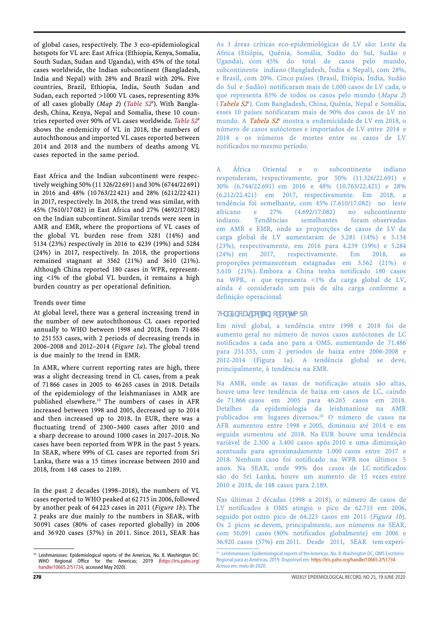of global cases, respectively. The 3 eco-epidemiological hotspots for VL are: East Africa (Ethiopia, Kenya, Somalia, South Sudan, Sudan and Uganda), with 45% of the total cases worldwide, the Indian subcontinent (Bangladesh, India and Nepal) with 28% and Brazil with 20%. Five countries, Brazil, Ethiopia, India, South Sudan and Sudan, each reported >1000 VL cases, representing 83% of all cases globally (*Map 2*) (*[Table S2](https://www.who.int/docs/default-source/ntds/leishmaniasis/wer-9525-supplementary-tables-s1-s2.pdf)*<sup>9</sup> ). With Bangladesh, China, Kenya, Nepal and Somalia, these 10 countries reported over 90% of VL cases worldwide. *[Table](https://www.who.int/docs/default-source/ntds/leishmaniasis/wer-9525-supplementary-tables-s1-s2.pdf) S2*<sup>9</sup> shows the endemicity of VL in 2018, the numbers of autochthonous and imported VL cases reported between 2014 and 2018 and the numbers of deaths among VL cases reported in the same period.

East Africa and the Indian subcontinent were respectively weighing 50% (11 326/22 691) and 30% (6744/22 691) in 2016 and 48% (10 763/22 421) and 28% (6212/22 421) in 2017, respectively. In 2018, the trend was similar, with 45% (7610/17 082) in East Africa and 27% (4692/17 082) on the Indian subcontinent. Similar trends were seen in AMR and EMR, where the proportions of VL cases of the global VL burden rose from 3281 (14%) and 5134 (23%) respectively in 2016 to 4239 (19%) and 5284 (24%) in 2017, respectively. In 2018, the proportions remained stagnant at 3562 (21%) and 3610 (21%). Although China reported 180 cases in WPR, representing <1% of the global VL burden, it remains a high burden country as per operational definition.

#### Trends over time

At global level, there was a general increasing trend in the number of new autochthonous CL cases reported annually to WHO between 1998 and 2018, from 71 486 to 251 553 cases, with 2 periods of decreasing trends in 2006–2008 and 2012–2014 (*Figure 1a*). The global trend is due mainly to the trend in EMR.

In AMR, where current reporting rates are high, there was a slight decreasing trend in CL cases, from a peak of 71 866 cases in 2005 to 46 265 cases in 2018. Details of the epidemiology of the leishmaniases in AMR are published elsewhere.10 The numbers of cases in AFR increased between 1998 and 2005, decreased up to 2014 and then increased up to 2018. In EUR, there was a fluctuating trend of 2300–3400 cases after 2010 and a sharp decrease to around 1000 cases in 2017–2018. No cases have been reported from WPR in the past 5 years. In SEAR, where 99% of CL cases are reported from Sri Lanka, there was a 15 times increase between 2010 and 2018, from 148 cases to 2189.

In the past 2 decades (1998–2018), the numbers of VL cases reported to WHO peaked at 62 715 in 2006, followed by another peak of 64 223 cases in 2011 (*Figure 1b*). The 2 peaks are due mainly to the numbers in SEAR, with 50 091 cases (80% of cases reported globally) in 2006 and 36 920 cases (57%) in 2011. Since 2011, SEAR has As 3 áreas críticas eco-epidemiológicas de LV são: Leste da África (Etiópia, Quênia, Somália, Sudão do Sul, Sudão e Uganda), com 45% do total de casos pelo mundo, subcontinente indiano (Bangladesh, Índia e Nepal), com 28%, e Brasil, com 20%. Cinco países (Brasil, Etiópia, Índia, Sudão do Sul e Sudão) notificaram mais de 1.000 casos de LV cada, o que representa 83% de todos os casos pelo mundo (Mapa 2) (Tabela S2<sup>9</sup>). Com Bangladesh, China, Quênia, Nepal e Somália, esses 10 países notificaram mais de 90% dos casos de LV no mundo. A Tabela S2 <sup>9</sup> mostra a endemicidade de LV em 2018, o número de casos autóctones e importados de LV entre 2014 e 2018 e os números de mortes entre os casos de LV notificados no mesmo período.

A África Oriental e o subcontinente indiano responderam, respectivamente, por 50% (11.326/22.691) e 30% (6.744/22.691) em 2016 e 48% (10.763/22.421) e 28% (6.212/22.421) em 2017, respectivamente. Em 2018, a tendência foi semelhante, com 45% (7.610/17.082) no leste africano e 27% no subcontinente indiano. Tendências semelhantes foram observadas em AMR e EMR, onde as proporções de casos de LV da carga global de LV aumentaram de 3.281 (14%) e 5.134 (23%), respectivamente, em 2016 para 4.239 (19%) e 5.284 (24%) em 2017, respectivamente. Em 2018, as proporções permaneceram estagnadas em 3.562 (21%) e 3.610 (21%). Embora a China tenha notificado 180 casos na WPR, o que representa <1% da carga global de LV, ainda é considerado um país de alta carga conforme a definição operacional.

#### Tendências ao longo do tempo

Em nível global, a tendência entre 1998 e 2018 foi de aumento geral no número de novos casos autóctones de LC notificados a cada ano para a OMS, aumentando de 71.486 para 251.553, com 2 períodos de baixa entre 2006-2008 e 2012-2014 (Figura 1a). A tendência global se deve, principalmente, à tendência na EMR.

Na AMR, onde as taxas de notificação atuais são altas, houve uma leve tendência de baixa em casos de LC, caindo de 71.866 casos em 2005 para 46.265 casos em 2018. Detalhes da epidemiologia da leishmaniose na AMR publicados em lugares diversos.10 O número de casos na AFR aumentou entre 1998 e 2005, diminuiu até 2014 e em seguida aumentou até 2018. Na EUR houve uma tendência variável de 2.300 a 3.400 casos após 2010 e uma diminuição acentuada para aproximadamente 1.000 casos entre 2017 e 2018. Nenhum caso foi notificado na WPR nos últimos 5 anos. Na SEAR, onde 99% dos casos de LC notificados são do Sri Lanka, houve um aumento de 15 vezes entre 2010 e 2018, de 148 casos para 2.189.

Nas últimas 2 décadas (1998 a 2018), o número de casos de LV notificados à OMS atingiu o pico de 62.715 em 2006, seguido por outro pico de 64.223 casos em 2011 (Figura 1b). Os 2 picos se devem, principalmente, aos números na SEAR, com 50.091 casos (80% notificados globalmente) em 2006 e 36.920 casos (57%) em 2011. Desde 2011, SEAR tem experimentado uma redução acen-

<sup>10</sup> Leishmaniases: Epidemiological reports of the Americas, No. 8. Washington DC: WHO Regional Office for the Americas; 2019 [\(https://iris.paho.org/](https://iris.paho.org/handle/10665.2/51734) [handle/10665.2/51734,](https://iris.paho.org/handle/10665.2/51734) accessed May 2020).

<sup>10</sup> Leishmaniases: Epidemiological reports of the Americas, No. 8. Washington DC, OMS Escritório Regional para as Américas, 2019. Disponível em: https://iris.paho.org/handle/10665.2/51734. Acesso em: maio de 2020.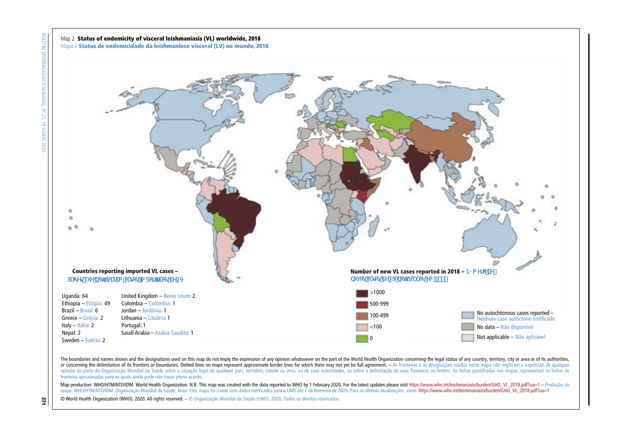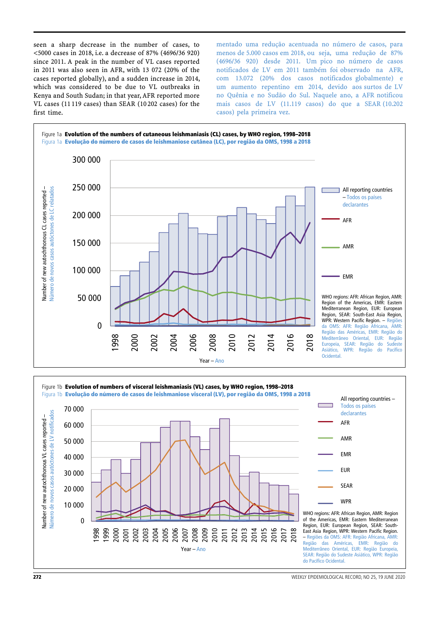seen a sharp decrease in the number of cases, to <5000 cases in 2018, i.e. a decrease of 87% (4696/36 920) since 2011. A peak in the number of VL cases reported in 2011 was also seen in AFR, with 13 072 (20% of the cases reported globally), and a sudden increase in 2014, which was considered to be due to VL outbreaks in Kenya and South Sudan; in that year, AFR reported more VL cases (11 119 cases) than SEAR (10 202 cases) for the first time.

tuada no número de casos, para menos de 5.000 casos em 2018, ou seja, uma redução de 87% (4696/36 920) desde 2011. Um pico no número de casos notificados de LV em 2011 também foi observado na AFR, com 13.072 (20% dos casos notificados globalmente) e um aumento repentino em 2014, devido aos surtos de LV no Quênia e no Sudão do Sul. Naquele ano, a AFR notificou mais casos de LV (11.119 casos) do que a SEAR (10.202 casos) pela primeira vez.





**272** WEEKLY EPIDEMIOLOGICAL RECORD, NO 25, 19 JUNE 2020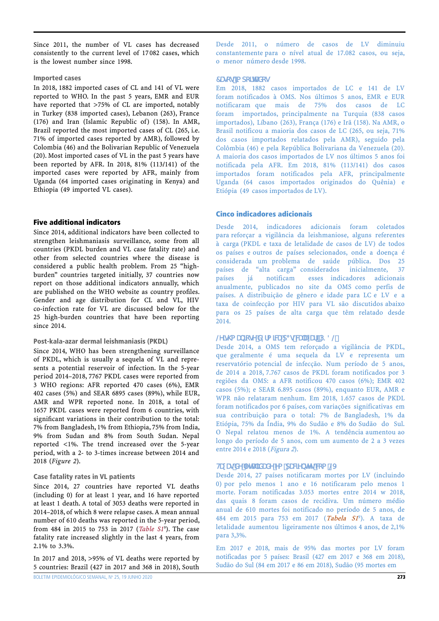Since 2011, the number of VL cases has decreased consistently to the current level of 17 082 cases, which is the lowest number since 1998.

## Imported cases

In 2018, 1882 imported cases of CL and 141 of VL were reported to WHO. In the past 5 years, EMR and EUR have reported that >75% of CL are imported, notably in Turkey (838 imported cases), Lebanon (263), France (176) and Iran (Islamic Republic of) (158). In AMR, Brazil reported the most imported cases of CL (265, i.e. 71% of imported cases reported by AMR), followed by Colombia (46) and the Bolivarian Republic of Venezuela (20). Most imported cases of VL in the past 5 years have been reported by AFR. In 2018, 81% (113/141) of the imported cases were reported by AFR, mainly from Uganda (64 imported cases originating in Kenya) and Ethiopia (49 imported VL cases).

# Five additional indicators

Since 2014, additional indicators have been collected to strengthen leishmaniasis surveillance, some from all countries (PKDL burden and VL case fatality rate) and other from selected countries where the disease is considered a public health problem. From 25 "highburden" countries targeted initially, 37 countries now report on those additional indicators annually, which are published on the WHO website as country profiles. Gender and age distribution for CL and VL, HIV co-infection rate for VL are discussed below for the 25 high-burden countries that have been reporting since 2014.

# Post-kala-azar dermal leishmaniasis (PKDL)

Since 2014, WHO has been strengthening surveillance of PKDL, which is usually a sequela of VL and represents a potential reservoir of infection. In the 5-year period 2014–2018, 7767 PKDL cases were reported from 3 WHO regions: AFR reported 470 cases (6%), EMR 402 cases (5%) and SEAR 6895 cases (89%), while EUR, AMR and WPR reported none. In 2018, a total of 1657 PKDL cases were reported from 6 countries, with significant variations in their contribution to the total: 7% from Bangladesh, 1% from Ethiopia, 75% from India, 9% from Sudan and 8% from South Sudan. Nepal reported <1%. The trend increased over the 5-year period, with a 2- to 3-times increase between 2014 and 2018 (*Figure 2*).

# Case fatality rates in VL patients

Since 2014, 27 countries have reported VL deaths (including 0) for at least 1 year, and 16 have reported at least 1 death. A total of 3053 deaths were reported in 2014–2018, of which 8 were relapse cases. A mean annual number of 610 deaths was reported in the 5-year period, from 484 in 2015 to 753 in 2017 (*[Table S1](https://www.who.int/docs/default-source/ntds/leishmaniasis/wer-9525-supplementary-tables-s1-s2.pdf)*<sup>9</sup> ). The case fatality rate increased slightly in the last 4 years, from 2.1% to 3.3%.

In 2017 and 2018, >95% of VL deaths were reported by 5 countries: Brazil (427 in 2017 and 368 in 2018), South

Desde 2011, o número de casos de LV diminuiu constantemente para o nível atual de 17.082 casos, ou seja, o menor número desde 1998.

#### Casos importados

Em 2018, 1882 casos importados de LC e 141 de LV foram notificados à OMS. Nos últimos 5 anos, EMR e EUR notificaram que mais de 75% dos casos de LC foram importados, principalmente na Turquia (838 casos importados), Líbano (263), França (176) e Irã (158). Na AMR, o Brasil notificou a maioria dos casos de LC (265, ou seja, 71% dos casos importados relatados pela AMR), seguido pela Colômbia (46) e pela República Bolivariana da Venezuela (20). A maioria dos casos importados de LV nos últimos 5 anos foi notificada pela AFR. Em 2018, 81% (113/141) dos casos importados foram notificados pela AFR, principalmente Uganda (64 casos importados originados do Quênia) e Etiópia (49 casos importados de LV).

# Cinco indicadores adicionais

Desde 2014, indicadores adicionais foram coletados para reforçar a vigilância da leishmaniose, alguns referentes à carga (PKDL e taxa de letalidade de casos de LV) de todos os países e outros de países selecionados, onde a doença é considerada um problema de saúde pública. Dos 25 países de "alta carga" considerados inicialmente, 37 países já notificam esses indicadores adicionais anualmente, publicados no site da OMS como perfis de países. A distribuição de gênero e idade para LC e LV e a taxa de coinfecção por HIV para VL são discutidos abaixo para os 25 países de alta carga que têm relatado desde 2014.

# Leishmaniose dérmica pós-calazar (PKDL)

Desde 2014, a OMS tem reforçado a vigilância de PKDL, que geralmente é uma sequela da LV e representa um reservatório potencial de infecção. Num período de 5 anos, de 2014 a 2018, 7.767 casos de PKDL foram notificados por 3 regiões da OMS: a AFR notificou 470 casos (6%); EMR 402 casos (5%); e SEAR 6.895 casos (89%), enquanto EUR, AMR e WPR não relataram nenhum. Em 2018, 1.657 casos de PKDL foram notificados por 6 países, com variações significativas em sua contribuição para o total: 7% de Bangladesh, 1% da Etiópia, 75% da Índia, 9% do Sudão e 8% do Sudão do Sul. O Nepal relatou menos de 1%. A tendência aumentou ao longo do período de 5 anos, com um aumento de 2 a 3 vezes entre 2014 e 2018 (Figura 2).

# Taxas de letalidade em pacientes com LV

Desde 2014, 27 países notificaram mortes por LV (incluindo 0) por pelo menos 1 ano e 16 notificaram pelo menos 1 morte. Foram notificadas 3.053 mortes entre 2014 w 2018, das quais 8 foram casos de recidiva. Um número médio anual de 610 mortes foi notificado no período de 5 anos, de 484 em 2015 para 753 em 2017 (Tabela S1<sup>9</sup>). A taxa de letalidade aumentou ligeiramente nos últimos 4 anos, de 2,1% para 3,3%.

Em 2017 e 2018, mais de 95% das mortes por LV foram notificadas por 5 países: Brasil (427 em 2017 e 368 em 2018), Sudão do Sul (84 em 2017 e 86 em 2018), Sudão (95 mortes em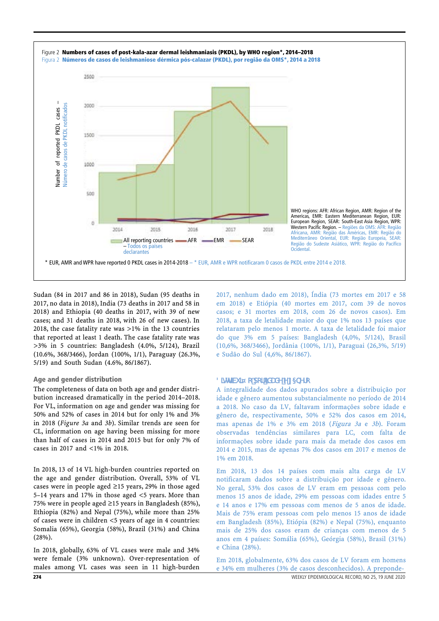

Sudan (84 in 2017 and 86 in 2018), Sudan (95 deaths in 2017, no data in 2018), India (73 deaths in 2017 and 58 in 2018) and Ethiopia (40 deaths in 2017, with 39 of new cases; and 31 deaths in 2018, with 26 of new cases). In 2018, the case fatality rate was >1% in the 13 countries that reported at least 1 death. The case fatality rate was >3% in 5 countries: Bangladesh (4.0%, 5/124), Brazil (10.6%, 368/3466), Jordan (100%, 1/1), Paraguay (26.3%, 5/19) and South Sudan (4.6%, 86/1867).

# Age and gender distribution

The completeness of data on both age and gender distribution increased dramatically in the period 2014–2018. For VL, information on age and gender was missing for 50% and 52% of cases in 2014 but for only 1% and 3% in 2018 (*Figure 3a* and *3b*). Similar trends are seen for CL, information on age having been missing for more than half of cases in 2014 and 2015 but for only 7% of cases in 2017 and <1% in 2018.

In 2018, 13 of 14 VL high-burden countries reported on the age and gender distribution. Overall, 53% of VL cases were in people aged ≥15 years, 29% in those aged 5–14 years and 17% in those aged <5 years. More than 75% were in people aged ≥15 years in Bangladesh (85%), Ethiopia (82%) and Nepal (75%), while more than 25% of cases were in children <5 years of age in 4 countries: Somalia (65%), Georgia (58%), Brazil (31%) and China (28%).

In 2018, globally, 63% of VL cases were male and 34% were female (3% unknown). Over-representation of males among VL cases was seen in 11 high-burden

2017, nenhum dado em 2018), Índia (73 mortes em 2017 e 58 em 2018) e Etiópia (40 mortes em 2017, com 39 de novos casos; e 31 mortes em 2018, com 26 de novos casos). Em 2018, a taxa de letalidade maior do que 1% nos 13 países que relataram pelo menos 1 morte. A taxa de letalidade foi maior do que 3% em 5 países: Bangladesh (4,0%, 5/124), Brasil (10,6%, 368/3466), Jordânia (100%, 1/1), Paraguai (26,3%, 5/19) e Sudão do Sul (4,6%, 86/1867).

#### Distribuição por idade e gênero

A integralidade dos dados apurados sobre a distribuição por idade e gênero aumentou substancialmente no período de 2014 a 2018. No caso da LV, faltavam informações sobre idade e gênero de, respectivamente, 50% e 52% dos casos em 2014, mas apenas de 1% e 3% em 2018 (Figura 3a e 3b). Foram observadas tendências similares para LC, com falta de informações sobre idade para mais da metade dos casos em 2014 e 2015, mas de apenas 7% dos casos em 2017 e menos de 1% em 2018.

Em 2018, 13 dos 14 países com mais alta carga de LV notificaram dados sobre a distribuição por idade e gênero. No geral, 53% dos casos de LV eram em pessoas com pelo menos 15 anos de idade, 29% em pessoas com idades entre 5 e 14 anos e 17% em pessoas com menos de 5 anos de idade. Mais de 75% eram pessoas com pelo menos 15 anos de idade em Bangladesh (85%), Etiópia (82%) e Nepal (75%), enquanto mais de 25% dos casos eram de crianças com menos de 5 anos em 4 países: Somália (65%), Geórgia (58%), Brasil (31%) e China (28%).

274 WEEKLY EPIDEMIOLOGICAL RECORD, NO 25, 19 JUNE 2020 Em 2018, globalmente, 63% dos casos de LV foram em homens e 34% em mulheres (3% de casos desconhecidos). A preponde-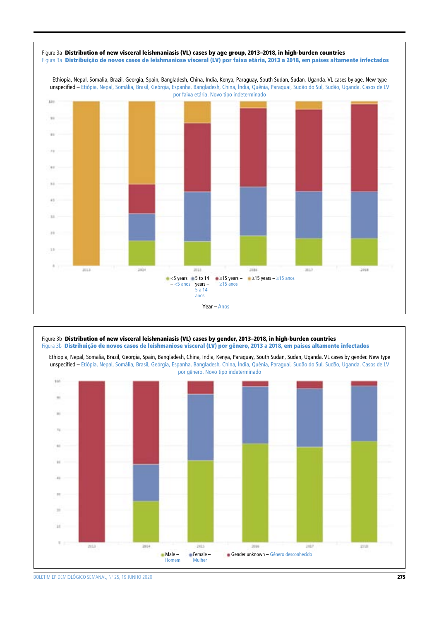



BOLETIM EPIDEMIOLÓGICO SEMANAL, Nº 25, 19 JUNHO 2020  $\,$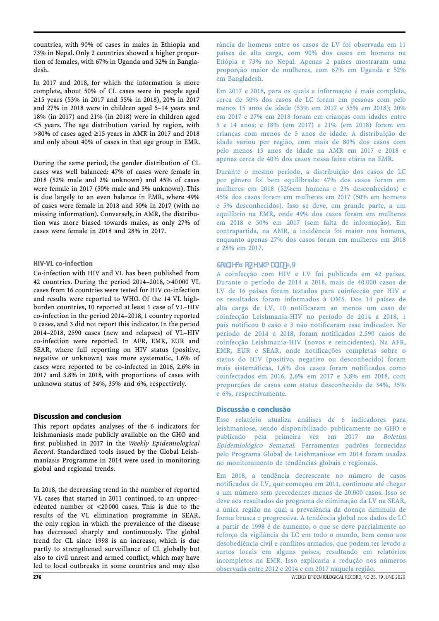countries, with 90% of cases in males in Ethiopia and 73% in Nepal. Only 2 countries showed a higher proportion of females, with 67% in Uganda and 52% in Bangladesh.

In 2017 and 2018, for which the information is more complete, about 50% of CL cases were in people aged ≥15 years (53% in 2017 and 55% in 2018), 20% in 2017 and 27% in 2018 were in children aged 5–14 years and 18% (in 2017) and 21% (in 2018) were in children aged <5 years. The age distribution varied by region, with >80% of cases aged ≥15 years in AMR in 2017 and 2018 and only about 40% of cases in that age group in EMR.

During the same period, the gender distribution of CL cases was well balanced: 47% of cases were female in 2018 (52% male and 2% unknown) and 45% of cases were female in 2017 (50% male and 5% unknown). This is due largely to an even balance in EMR, where 49% of cases were female in 2018 and 50% in 2017 (with no missing information). Conversely, in AMR, the distribution was more biased towards males, as only 27% of cases were female in 2018 and 28% in 2017.

# HIV-VL co-infection

Co-infection with HIV and VL has been published from 42 countries. During the period 2014–2018, >40 000 VL cases from 16 countries were tested for HIV co-infection and results were reported to WHO. Of the 14 VL highburden countries, 10 reported at least 1 case of VL–HIV co-infection in the period 2014–2018, 1 country reported 0 cases, and 3 did not report this indicator. In the period 2014–2018, 2590 cases (new and relapses) of VL–HIV co-infection were reported. In AFR, EMR, EUR and SEAR, where full reporting on HIV status (positive, negative or unknown) was more systematic, 1.6% of cases were reported to be co-infected in 2016, 2.6% in 2017 and 3.8% in 2018, with proportions of cases with unknown status of 34%, 35% and 6%, respectively.

# Discussion and conclusion

This report updates analyses of the 6 indicators for leishmaniasis made publicly available on the GHO and first published in 2017 in the *Weekly Epidemiological Record*. Standardized tools issued by the Global Leishmaniasis Programme in 2014 were used in monitoring global and regional trends.

In 2018, the decreasing trend in the number of reported VL cases that started in 2011 continued, to an unprecedented number of <20 000 cases. This is due to the results of the VL elimination programme in SEAR, the only region in which the prevalence of the disease has decreased sharply and continuously. The global trend for CL since 1998 is an increase, which is due partly to strengthened surveillance of CL globally but also to civil unrest and armed conflict, which may have led to local outbreaks in some countries and may also

rância de homens entre os casos de LV foi observada em 11 países de alta carga, com 90% dos casos em homens na Etiópia e 73% no Nepal. Apenas 2 países mostraram uma proporção maior de mulheres, com 67% em Uganda e 52% em Bangladesh.

Em 2017 e 2018, para os quais a informação é mais completa, cerca de 50% dos casos de LC foram em pessoas com pelo menos 15 anos de idade (53% em 2017 e 55% em 2018); 20% em 2017 e 27% em 2018 foram em crianças com idades entre 5 e 14 anos; e 18% (em 2017) e 21% (em 2018) foram em crianças com menos de 5 anos de idade. A distribuição de idade variou por região, com mais de 80% dos casos com pelo menos 15 anos de idade na AMR em 2017 e 2018 e apenas cerca de 40% dos casos nessa faixa etária na EMR.

Durante o mesmo período, a distribuição dos casos de LC por gênero foi bem equilibrada: 47% dos casos foram em mulheres em 2018 (52%em homens e 2% desconhecidos) e 45% dos casos foram em mulheres em 2017 (50% em homens e 5% desconhecidos). Isso se deve, em grande parte, a um equilíbrio na EMR, onde 49% dos casos foram em mulheres em 2018 e 50% em 2017 (sem falta de informação). Em contrapartida, na AMR, a incidência foi maior nos homens, enquanto apenas 27% dos casos foram em mulheres em 2018 e 28% em 2017.

# Coinfecção Leishmania-HIV

A coinfecção com HIV e LV foi publicada em 42 países. Durante o período de 2014 a 2018, mais de 40.000 casos de LV de 16 países foram testados para coinfecção por HIV e os resultados foram informados à OMS. Dos 14 países de alta carga de LV, 10 notificaram ao menos um caso de coinfecção Leishmania-HIV no período de 2014 a 2018, 1 país notificou 0 caso e 3 não notificaram esse indicador. No período de 2014 a 2018, foram notificados 2.590 casos de coinfecção Leishmania-HIV (novos e reincidentes). Na AFR, EMR, EUR e SEAR, onde notificações completas sobre o status do HIV (positivo, negativo ou desconhecido) foram mais sistemáticas, 1,6% dos casos foram notificados como coinfectados em 2016, 2,6% em 2017 e 3,8% em 2018, com proporções de casos com status desconhecido de 34%, 35% e 6%, respectivamente.

# Discussão e conclusão

Esse relatório atualiza análises de 6 indicadores para leishmaniose, sendo disponibilizado publicamente no GHO e publicado pela primeira vez em 2017 no Boletim Epidemiológico Semanal. Ferramentas padrões fornecidas pelo Programa Global de Leishmaniose em 2014 foram usadas no monitoramento de tendências globais e regionais.

Em 2018, a tendência decrescente no número de casos notificados de LV, que começou em 2011, continuou até chegar a um número sem precedentes menos de 20.000 casos. Isso se deve aos resultados do programa de eliminação da LV na SEAR, a única região na qual a prevalência da doença diminuiu de forma brusca e progressiva. A tendência global nos dados de LC a partir de 1998 é de aumento, o que se deve parcialmente ao reforço da vigilância da LC em todo o mundo, bem como aos desobediência civil e conflitos armados, que podem ter levado a surtos locais em alguns países, resultando em relatórios incompletos na EMR. Isso explicaria a redução nos números observada entre 2012 e 2014 e em 2017 naquela região.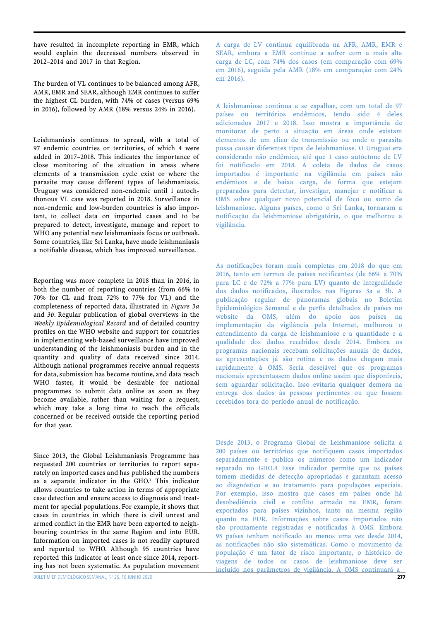have resulted in incomplete reporting in EMR, which would explain the decreased numbers observed in 2012–2014 and 2017 in that Region.

The burden of VL continues to be balanced among AFR, AMR, EMR and SEAR, although EMR continues to suffer the highest CL burden, with 74% of cases (versus 69% in 2016), followed by AMR (18% versus 24% in 2016).

Leishmaniasis continues to spread, with a total of 97 endemic countries or territories, of which 4 were added in 2017–2018. This indicates the importance of close monitoring of the situation in areas where elements of a transmission cycle exist or where the parasite may cause different types of leishmaniasis. Uruguay was considered non-endemic until 1 autochthonous VL case was reported in 2018. Surveillance in non-endemic and low-burden countries is also important, to collect data on imported cases and to be prepared to detect, investigate, manage and report to WHO any potential new leishmaniasis focus or outbreak. Some countries, like Sri Lanka, have made leishmaniasis a notifiable disease, which has improved surveillance.

Reporting was more complete in 2018 than in 2016, in both the number of reporting countries (from 66% to 70% for CL and from 72% to 77% for VL) and the completeness of reported data, illustrated in *Figure 3a*  and *3b*. Regular publication of global overviews in the *Weekly Epidemiological Record* and of detailed country profiles on the WHO website and support for countries in implementing web-based surveillance have improved understanding of the leishmaniasis burden and in the quantity and quality of data received since 2014. Although national programmes receive annual requests for data, submission has become routine, and data reach WHO faster, it would be desirable for national programmes to submit data online as soon as they become available, rather than waiting for a request, which may take a long time to reach the officials concerned or be received outside the reporting period for that year.

Since 2013, the Global Leishmaniasis Programme has requested 200 countries or territories to report separately on imported cases and has published the numbers as a separate indicator in the GHO.<sup>4</sup> This indicator allows countries to take action in terms of appropriate case detection and ensure access to diagnosis and treatment for special populations. For example, it shows that cases in countries in which there is civil unrest and armed conflict in the EMR have been exported to neighbouring countries in the same Region and into EUR. Information on imported cases is not readily captured and reported to WHO. Although 95 countries have reported this indicator at least once since 2014, reporting has not been systematic. As population movement

A carga de LV continua equilibrada na AFR, AMR, EMR e SEAR, embora a EMR continue a sofrer com a mais alta carga de LC, com 74% dos casos (em comparação com 69% em 2016), seguida pela AMR (18% em comparação com 24% em 2016).

A leishmaniose continua a se espalhar, com um total de 97 países ou territórios endêmicos, tendo sido 4 deles adicionados 2017 e 2018. Isso mostra a importância de monitorar de perto a situação em áreas onde existam elementos de um clico de transmissão ou onde o parasita possa causar diferentes tipos de leishmaniose. O Uruguai era considerado não endêmico, até que 1 caso autóctone de LV foi notificado em 2018. A coleta de dados de casos importados é importante na vigilância em países não endêmicos e de baixa carga, de forma que estejam preparados para detectar, investigar, manejar e notificar a OMS sobre qualquer novo potencial de foco ou surto de leishmaniose. Alguns países, como o Sri Lanka, tornaram a notificação da leishmaniose obrigatória, o que melhorou a vigilância.

As notificações foram mais completas em 2018 do que em 2016, tanto em termos de países notificantes (de 66% a 70% para LC e de 72% a 77% para LV) quanto de integralidade dos dados notificados, ilustrados nas Figuras 3a e 3b. A publicação regular de panoramas globais no Boletim Epidemiológico Semanal e de perfis detalhados de países no website da OMS, além do apoio aos países na implementação da vigilância pela Internet, melhorou o entendimento da carga de leishmaniose e a quantidade e a qualidade dos dados recebidos desde 2014. Embora os programas nacionais recebam solicitações anuais de dados, as apresentações já são rotina e os dados chegam mais rapidamente à OMS. Seria desejável que os programas nacionais apresentassem dados online assim que disponíveis, sem aguardar solicitação. Isso evitaria qualquer demora na entrega dos dados às pessoas pertinentes ou que fossem recebidos fora do período anual de notificação.

Desde 2013, o Programa Global de Leishmaniose solicita a 200 países ou territórios que notifiquem casos importados separadamente e publica os números como um indicador separado no GHO.4 Esse indicador permite que os países tomem medidas de detecção apropriadas e garantam acesso ao diagnóstico e ao tratamento para populações especiais. Por exemplo, isso mostra que casos em países onde há desobediência civil e conflito armado na EMR, foram exportados para países vizinhos, tanto na mesma região quanto na EUR. Informações sobre casos importados não são prontamente registradas e notificadas à OMS. Embora 95 países tenham notificado ao menos uma vez desde 2014, as notificações não são sistemáticas. Como o movimento da população é um fator de risco importante, o histórico de viagens de todos os casos de leishmaniose deve ser incluído nos parâmetros de vigilância. A OMS continuará a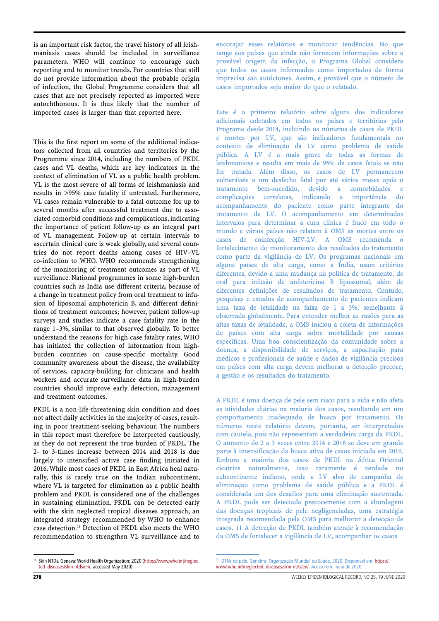is an important risk factor, the travel history of all leishmaniasis cases should be included in surveillance parameters. WHO will continue to encourage such reporting and to monitor trends. For countries that still do not provide information about the probable origin of infection, the Global Programme considers that all cases that are not precisely reported as imported were autochthonous. It is thus likely that the number of imported cases is larger than that reported here.

This is the first report on some of the additional indicators collected from all countries and territories by the Programme since 2014, including the numbers of PKDL cases and VL deaths, which are key indicators in the context of elimination of VL as a public health problem. VL is the most severe of all forms of leishmaniasis and results in >95% case fatality if untreated. Furthermore, VL cases remain vulnerable to a fatal outcome for up to several months after successful treatment due to associated comorbid conditions and complications, indicating the importance of patient follow-up as an integral part of VL management. Follow-up at certain intervals to ascertain clinical cure is weak globally, and several countries do not report deaths among cases of HIV–VL co-infection to WHO. WHO recommends strengthening of the monitoring of treatment outcomes as part of VL surveillance. National programmes in some high-burden countries such as India use different criteria, because of a change in treatment policy from oral treatment to infusion of liposomal amphotericin B, and different definitions of treatment outcomes; however, patient follow-up surveys and studies indicate a case fatality rate in the range 1–3%, similar to that observed globally. To better understand the reasons for high case fatality rates, WHO has initiated the collection of information from highburden countries on cause-specific mortality. Good community awareness about the disease, the availability of services, capacity-building for clinicians and health workers and accurate surveillance data in high-burden countries should improve early detection, management and treatment outcomes.

PKDL is a non-life-threatening skin condition and does not affect daily activities in the majority of cases, resulting in poor treatment-seeking behaviour. The numbers in this report must therefore be interpreted cautiously, as they do not represent the true burden of PKDL. The 2- to 3-times increase between 2014 and 2018 is due largely to intensified active case finding initiated in 2016. While most cases of PKDL in East Africa heal naturally, this is rarely true on the Indian subcontinent, where VL is targeted for elimination as a public health problem and PKDL is considered one of the challenges in sustaining elimination. PKDL can be detected early with the skin neglected tropical diseases approach, an integrated strategy recommended by WHO to enhance case detection.11 Detection of PKDL also meets the WHO recommendation to strengthen VL surveillance and to

<sup>11</sup> Skin NTDs. Geneva: World Health Organization; 2020 [\(https://www.who.int/neglec](https://www.who.int/neglected_diseases/skin-ntds/en/)[ted\\_diseases/skin-ntds/en/](https://www.who.int/neglected_diseases/skin-ntds/en/), accessed May 2020)

encorajar esses relatórios e monitorar tendências. No que tange aos países que ainda não fornecem informações sobre a provável origem da infecção, o Programa Global considera que todos os casos informados como importados de forma imprecisa são autóctones. Assim, é provável que o número de casos importados seja maior do que o relatado.

Este é o primeiro relatório sobre alguns dos indicadores adicionais coletados em todos os países e territórios pelo Programa desde 2014, incluindo os números de casos de PKDL e mortes por LV, que são indicadores fundamentais no contexto de eliminação da LV como problema de saúde pública. A LV é a mais grave de todas as formas de leishmaniose e resulta em mais de 95% de casos fatais se não for tratada. Além disso, os casos de LV permanecem vulneráveis a um desfecho fatal por até vários meses após o tratamento bem-sucedido, devido a comorbidades e complicações correlatas, indicando a importância do acompanhamento do paciente como parte integrante do tratamento de LV. O acompanhamento em determinados intervalos para determinar a cura clínica é fraco em todo o mundo e vários países não relatam à OMS as mortes entre os casos de coinfecção HIV-LV. A OMS recomenda o fortalecimento do monitoramento dos resultados do tratamento como parte da vigilância de LV. Os programas nacionais em alguns países de alta carga, como a Índia, usam critérios diferentes, devido a uma mudança na política de tratamento, de oral para infusão de anfotericina B lipossomal, além de diferentes definições de resultados de tratamento. Contudo, pesquisas e estudos de acompanhamento de pacientes indicam uma taxa de letalidade na faixa de 1 a 3%, semelhante à observada globalmente. Para entender melhor as razões para as altas taxas de letalidade, a OMS iniciou a coleta de informações de países com alta carga sobre mortalidade por causas específicas. Uma boa conscientização da comunidade sobre a doença, a disponibilidade de serviços, a capacitação para médicos e profissionais de saúde e dados de vigilância precisos em países com alta carga devem melhorar a detecção precoce, a gestão e os resultados do tratamento.

A PKDL é uma doença de pele sem risco para a vida e não afeta as atividades diárias na maioria dos casos, resultando em um comportamento inadequado de busca por tratamento. Os números neste relatório devem, portanto, ser interpretados com cautela, pois não representam a verdadeira carga da PKDL. O aumento de 2 a 3 vezes entre 2014 e 2018 se deve em grande parte à intensificação da busca ativa de casos iniciada em 2016. Embora a maioria dos casos de PKDL na África Oriental cicatrize naturalmente, isso raramente é verdade no subcontinente indiano, onde a LV alvo de campanha de eliminação como problema de saúde pública e a PKDL é considerada um dos desafios para uma eliminação sustentada. A PKDL pode ser detectada precocemente com a abordagem das doenças tropicais de pele negligenciadas, uma estratégia integrada recomendada pela OMS para melhorar a detecção de casos.<sup>11</sup> A detecção de PKDL também atende à recomendação da OMS de fortalecer a vigilância de LV, acompanhar os casos

<sup>&</sup>lt;sup>11</sup> [DTNs de pele. Genebra: Organização Mundial da Saúde, 2020. Disponível em: https://](https://www.who.int/neglected_diseases/skin-ntds/en/) www.who.int/neglected\_diseases/skin-ntds/en/. Acesso em: maio de 2020.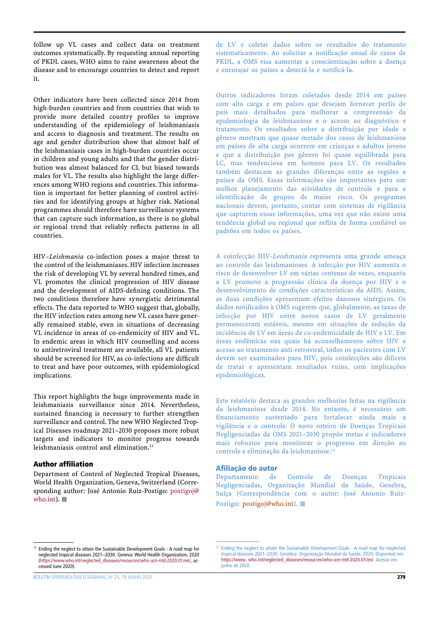follow up VL cases and collect data on treatment outcomes systematically. By requesting annual reporting of PKDL cases, WHO aims to raise awareness about the disease and to encourage countries to detect and report it.

Other indicators have been collected since 2014 from high-burden countries and from countries that wish to provide more detailed country profiles to improve understanding of the epidemiology of leishmaniasis and access to diagnosis and treatment. The results on age and gender distribution show that almost half of the leishmaniasis cases in high-burden countries occur in children and young adults and that the gender distribution was almost balanced for CL but biased towards males for VL. The results also highlight the large differences among WHO regions and countries. This information is important for better planning of control activities and for identifying groups at higher risk. National programmes should therefore have surveillance systems that can capture such information, as there is no global or regional trend that reliably reflects patterns in all countries.

HIV–*Leishmania* co-infection poses a major threat to the control of the leishmaniases. HIV infection increases the risk of developing VL by several hundred times, and VL promotes the clinical progression of HIV disease and the development of AIDS-defining conditions. The two conditions therefore have synergistic detrimental effects. The data reported to WHO suggest that, globally, the HIV infection rates among new VL cases have generally remained stable, even in situations of decreasing VL incidence in areas of co-endemicity of HIV and VL. In endemic areas in which HIV counselling and access to antiretroviral treatment are available, all VL patients should be screened for HIV, as co-infections are difficult to treat and have poor outcomes, with epidemiological implications.

This report highlights the huge improvements made in leishmaniasis surveillance since 2014. Nevertheless, sustained financing is necessary to further strengthen surveillance and control. The new WHO Neglected Tropical Diseases roadmap 2021–2030 proposes more robust targets and indicators to monitor progress towards leishmaniasis control and elimination.<sup>12</sup>

## Author affiliation

Department of Control of Neglected Tropical Diseases, World Health Organization, Geneva, Switzerland (Corresponding author: José Antonio Ruiz-Postigo: [postigoj@](mailto:postigoj@who.int) [who.int](mailto:postigoj@who.int)).  $\Box$ 

de LV e coletar dados sobre os resultados do tratamento sistematicamente. Ao solicitar a notificação anual de casos de PKDL, a OMS visa aumentar a conscientização sobre a doença e encorajar os países a detectá-la e notificá-la.

Outros indicadores foram coletados desde 2014 em países com alta carga e em países que desejam fornecer perfis de país mais detalhados para melhorar a compreensão da epidemiologia da leishmaniose e o acesso ao diagnóstico e tratamento. Os resultados sobre a distribuição por idade e gênero mostram que quase metade dos casos de leishmaniose em países de alta carga ocorrem em crianças e adultos jovens e que a distribuição por gênero foi quase equilibrada para LC, mas tendenciosa em homens para LV. Os resultados também destacam as grandes diferenças entre as regiões e países da OMS. Essas informações são importantes para um melhor planejamento das atividades de controle e para a identificação de grupos de maior risco. Os programas nacionais devem, portanto, contar com sistemas de vigilância que capturem essas informações, uma vez que não existe uma tendência global ou regional que reflita de forma confiável os padrões em todos os países.

A coinfecção HIV-Leishmania representa uma grande ameaça ao controle das leishmanioses. A infecção por HIV aumenta o risco de desenvolver LV em várias centenas de vezes, enquanto a LV promove a progressão clínica da doença por HIV e o desenvolvimento de condições características da AIDS. Assim, as duas condições apresentam efeitos danosos sinérgicos. Os dados notificados à OMS sugerem que, globalmente, as taxas de infecção por HIV entre novos casos de LV geralmente permaneceram estáveis, mesmo em situações de redução da incidência de LV em áreas de co-endemicidade de HIV e LV. Em áreas endêmicas nas quais há aconselhamento sobre HIV e acesso ao tratamento anti-retroviral, todos os pacientes com LV devem ser examinados para HIV, pois coinfecções são difíceis de tratar e apresentam resultados ruins, com implicações epidemiológicas.

Este relatório destaca as grandes melhorias feitas na vigilância da leishmaniose desde 2014. No entanto, é necessário um financiamento sustentado para fortalecer ainda mais a vigilância e o controle. O novo roteiro de Doenças Tropicais Negligenciadas da OMS 2021–2030 propõe metas e indicadores mais robustos para monitorar o progresso em direção ao controle e eliminação da leishmaniose.<sup>12</sup>

# Afiliação do autor

Departamento de Controle de Doenças Tropicais Negligenciadas, Organização Mundial da Saúde, Genebra, Suíça (Correspondência com o autor: José Antonio Ruiz-Postigo: postigoj@who.int).

<sup>&</sup>lt;sup>12</sup> Ending the neglect to attain the Sustainable Development Goals - A road map for neglected tropical diseases 2021–2030. Geneva: World Health Organization; 2020 ([https://www.who.int/neglected\\_diseases/resources/who-ucn-ntd-2020.01/en/](https://www.who.int/neglected_diseases/resources/who-ucn-ntd-2020.01/en/), accessed June 2020).

<sup>&</sup>lt;sup>12</sup> Ending the neglect to attain the Sustainable Development Goals - A road map for neglected tropical diseases 2021–2030. Genebra: Organização Mundial da Saúde, 2020. Disponível em: [https://www.](https://www.who.int/neglected_diseases/resources/who-ucn-ntd-2020.01/en/) [who.int/neglected\\_diseases/resources/who-ucn-ntd-2020.01/en/](https://www.who.int/neglected_diseases/resources/who-ucn-ntd-2020.01/en/). Acesso em: junho de 2020.